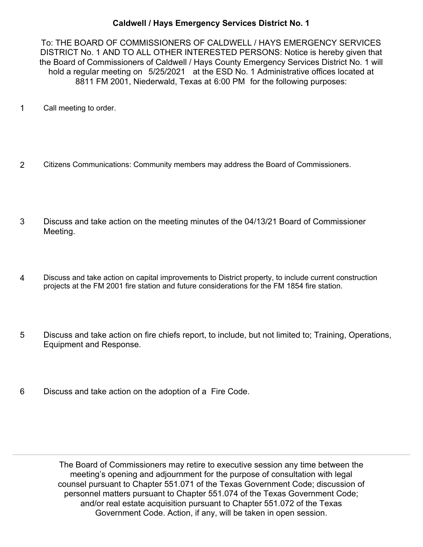## **Caldwell / Hays Emergency Services District No. 1**

To: THE BOARD OF COMMISSIONERS OF CALDWELL / HAYS EMERGENCY SERVICES DISTRICT No. 1 AND TO ALL OTHER INTERESTED PERSONS: Notice is hereby given that the Board of Commissioners of Caldwell / Hays County Emergency Services District No. 1 will hold a regular meeting on 5/25/2021 at the ESD No. 1 Administrative offices located at 8811 FM 2001, Niederwald, Texas at 6:00 PM for the following purposes:

- 1 Call meeting to order.
- 2 Citizens Communications: Community members may address the Board of Commissioners.
- Discuss and take action on the meeting minutes of the 04/13/21 Board of Commissioner Meeting. 3
- Discuss and take action on capital improvements to District property, to include current construction projects at the FM 2001 fire station and future considerations for the FM 1854 fire station. 4
- Discuss and take action on fire chiefs report, to include, but not limited to; Training, Operations, Equipment and Response. 5
- 6 Discuss and take action on the adoption of a Fire Code.

The Board of Commissioners may retire to executive session any time between the meeting's opening and adjournment for the purpose of consultation with legal counsel pursuant to Chapter 551.071 of the Texas Government Code; discussion of personnel matters pursuant to Chapter 551.074 of the Texas Government Code; and/or real estate acquisition pursuant to Chapter 551.072 of the Texas Government Code. Action, if any, will be taken in open session.